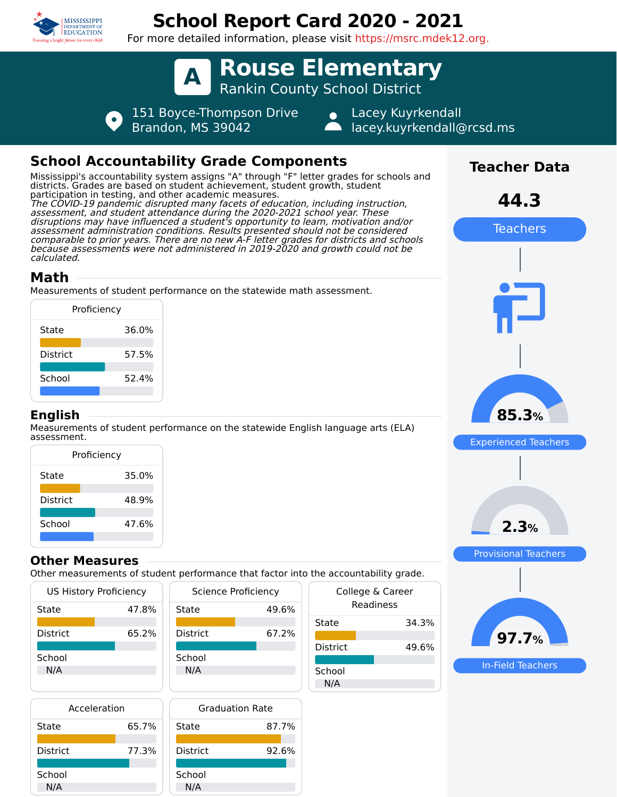

# **School Report Card 2020 - 2021**

For more detailed information, please visit https://msrc.mdek12.org.

**A Rouse Elementary** Rankin County School District

 $\bullet$ 

151 Boyce-Thompson Drive Brandon, MS 39042

Lacey Kuyrkendall lacey.kuyrkendall@rcsd.ms

## **School Accountability Grade Components**

Mississippi's accountability system assigns "A" through "F" letter grades for schools and districts. Grades are based on student achievement, student growth, student participation in testing, and other academic measures. The COVID-19 pandemic disrupted many facets of education, including instruction, assessment, and student attendance during the 2020-2021 school year. These disruptions may have influenced a student's opportunity to learn, motivation and/or assessment administration conditions. Results presented should not be considered comparable to prior years. There are no new A-F letter grades for districts and schools because assessments were not administered in 2019-2020 and growth could not be calculated.

### **Math**

Measurements of student performance on the statewide math assessment.

| Proficiency     |       |
|-----------------|-------|
| State           | 36.0% |
| <b>District</b> | 57.5% |
| School          | 52.4% |
|                 |       |

#### **English**

Measurements of student performance on the statewide English language arts (ELA) assessment.

| Proficiency |       |  |  |  |  |  |
|-------------|-------|--|--|--|--|--|
| State       | 35.0% |  |  |  |  |  |
| District    | 48.9% |  |  |  |  |  |
| School      | 47.6% |  |  |  |  |  |

#### **Other Measures**

Other measurements of student performance that factor into the accountability grade.

| <b>US History Proficiency</b> |       | Science Proficiency |       |     |
|-------------------------------|-------|---------------------|-------|-----|
| State                         | 47.8% | State               | 49.6% |     |
|                               |       |                     |       | Sta |
| <b>District</b>               | 65.2% | <b>District</b>     | 67.2% |     |
|                               |       |                     |       | Dis |
| School                        |       | School              |       |     |
| N/A                           |       | N/A                 |       | Sch |
|                               |       |                     |       | Ν   |
|                               |       |                     |       |     |

| Acceleration    |       |  |  |  |
|-----------------|-------|--|--|--|
| State           | 65.7% |  |  |  |
| <b>District</b> | 77.3% |  |  |  |
| School<br>N/A   |       |  |  |  |



| the accountability grade.     |       |  |  |  |  |
|-------------------------------|-------|--|--|--|--|
| College & Career<br>Readiness |       |  |  |  |  |
| State                         | 34.3% |  |  |  |  |
| District                      | 49.6% |  |  |  |  |
| School<br>N/A                 |       |  |  |  |  |



In-Field Teachers

**Teacher Data**